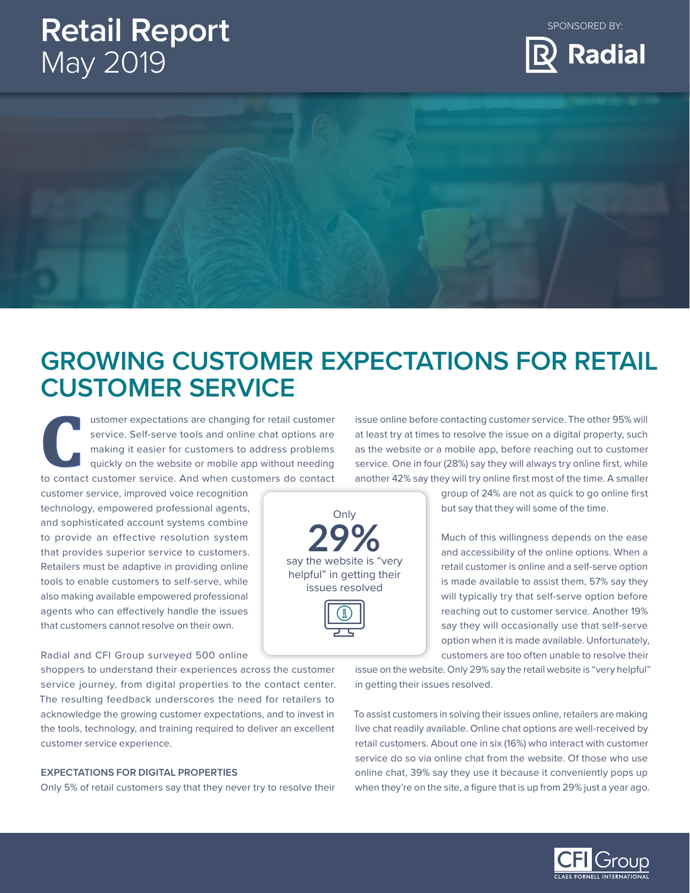# **Retail Report** May 2019

SPONSORED BY:



## **GROWING CUSTOMER EXPECTATIONS FOR RETAIL CUSTOMER SERVICE**

ustomer expectations are changing for retail customer service. Self-serve tools and online chat options are making it easier for customers to address problems quickly on the website or mobile app without needing ustomer expectations are changing for retail customer<br>service. Self-serve tools and online chat options are<br>making it easier for customers to address problems<br>quickly on the website or mobile app without needing<br>to contact

customer service, improved voice recognition technology, empowered professional agents, and sophisticated account systems combine to provide an effective resolution system that provides superior service to customers. Retailers must be adaptive in providing online tools to enable customers to self-serve, while also making available empowered professional agents who can effectively handle the issues that customers cannot resolve on their own.

## Radial and CFI Group surveyed 500 online

shoppers to understand their experiences across the customer service journey, from digital properties to the contact center. The resulting feedback underscores the need for retailers to acknowledge the growing customer expectations, and to invest in the tools, technology, and training required to deliver an excellent customer service experience.

### **EXPECTATIONS FOR DIGITAL PROPERTIES**

Only 5% of retail customers say that they never try to resolve their

issue online before contacting customer service. The other 95% will at least try at times to resolve the issue on a digital property, such as the website or a mobile app, before reaching out to customer service. One in four (28%) say they will always try online first, while another 42% say they will try online first most of the time. A smaller

> group of 24% are not as quick to go online first but say that they will some of the time.

> Much of this willingness depends on the ease and accessibility of the online options. When a retail customer is online and a self-serve option is made available to assist them, 57% say they will typically try that self-serve option before reaching out to customer service. Another 19% say they will occasionally use that self-serve option when it is made available. Unfortunately, customers are too often unable to resolve their

issue on the website. Only 29% say the retail website is "very helpful" in getting their issues resolved.

To assist customers in solving their issues online, retailers are making live chat readily available. Online chat options are well-received by retail customers. About one in six (16%) who interact with customer service do so via online chat from the website. Of those who use online chat, 39% say they use it because it conveniently pops up when they're on the site, a figure that is up from 29% just a year ago.